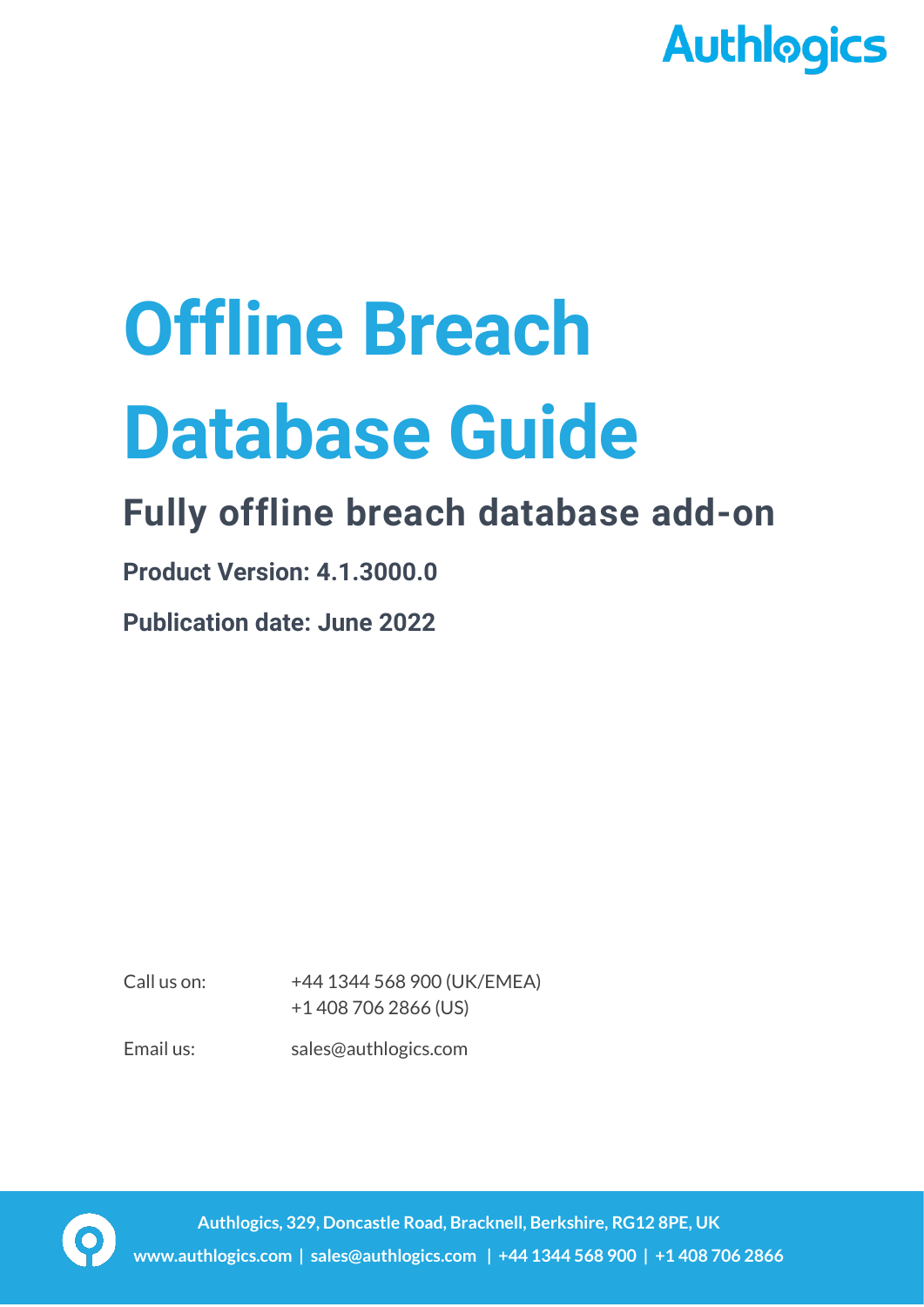

# **Offline Breach Database Guide**

# **Fully offline breach database add-on**

**Product Version: 4.1.3000.0**

**Publication date: June 2022**

Call us on: +44 1344 568 900 (UK/EMEA) +1 408 706 2866 (US)

Email us: sales@authlogics.com

**Authlogics, 329, Doncastle Road, Bracknell, Berkshire, RG12 8PE, UK www.authlogics.com | sales@authlogics.com | +44 1344 568 900 | +1 408 706 2866**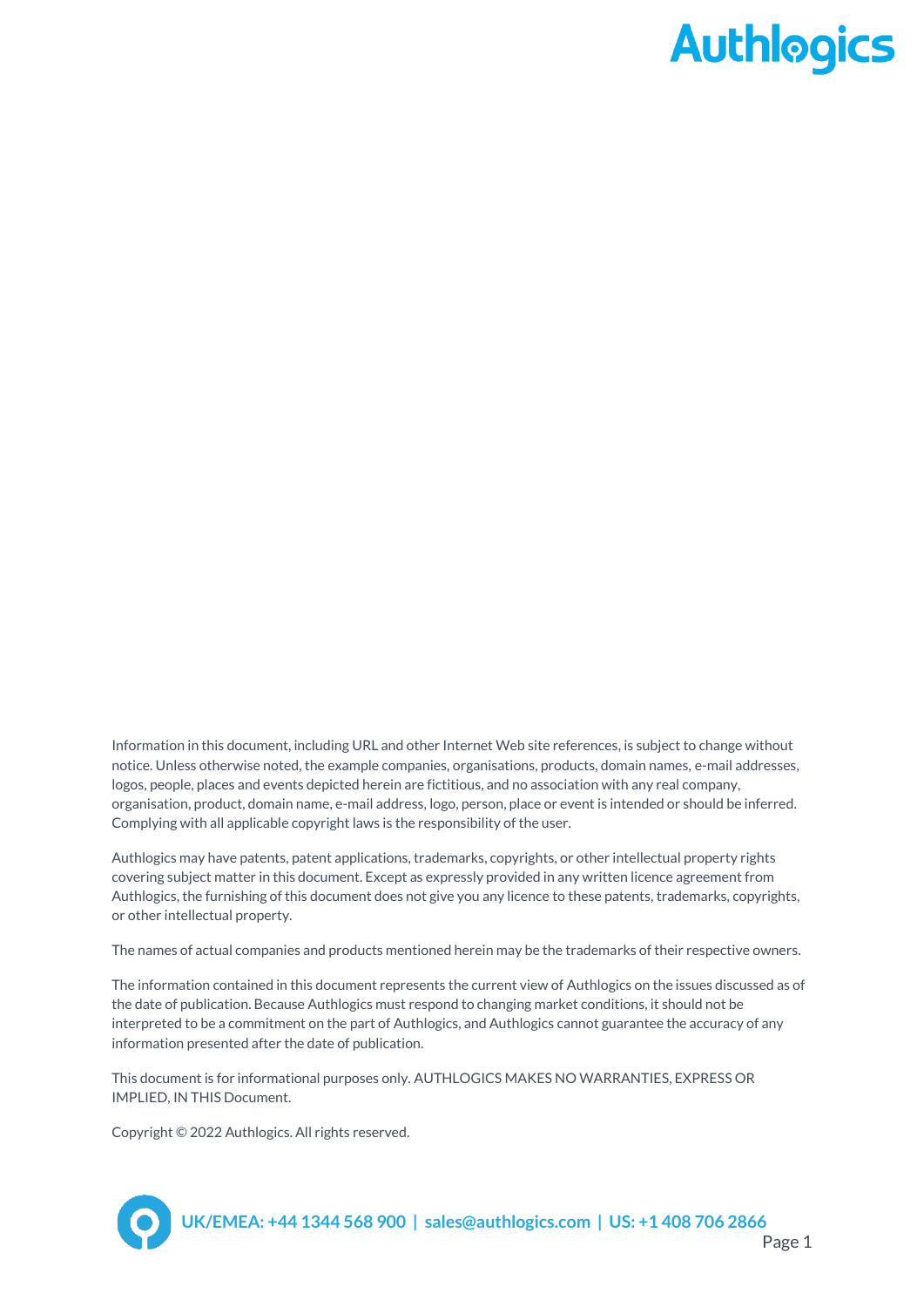Information in this document, including URL and other Internet Web site references, is subject to change without notice. Unless otherwise noted, the example companies, organisations, products, domain names, e-mail addresses, logos, people, places and events depicted herein are fictitious, and no association with any real company, organisation, product, domain name, e-mail address, logo, person, place or event is intended or should be inferred. Complying with all applicable copyright laws is the responsibility of the user.

Authlogics may have patents, patent applications, trademarks, copyrights, or other intellectual property rights covering subject matter in this document. Except as expressly provided in any written licence agreement from Authlogics, the furnishing of this document does not give you any licence to these patents, trademarks, copyrights, or other intellectual property.

The names of actual companies and products mentioned herein may be the trademarks of their respective owners.

The information contained in this document represents the current view of Authlogics on the issues discussed as of the date of publication. Because Authlogics must respond to changing market conditions, it should not be interpreted to be a commitment on the part of Authlogics, and Authlogics cannot guarantee the accuracy of any information presented after the date of publication.

This document is for informational purposes only. AUTHLOGICS MAKES NO WARRANTIES, EXPRESS OR IMPLIED, IN THIS Document.

Copyright © 2022 Authlogics. All rights reserved.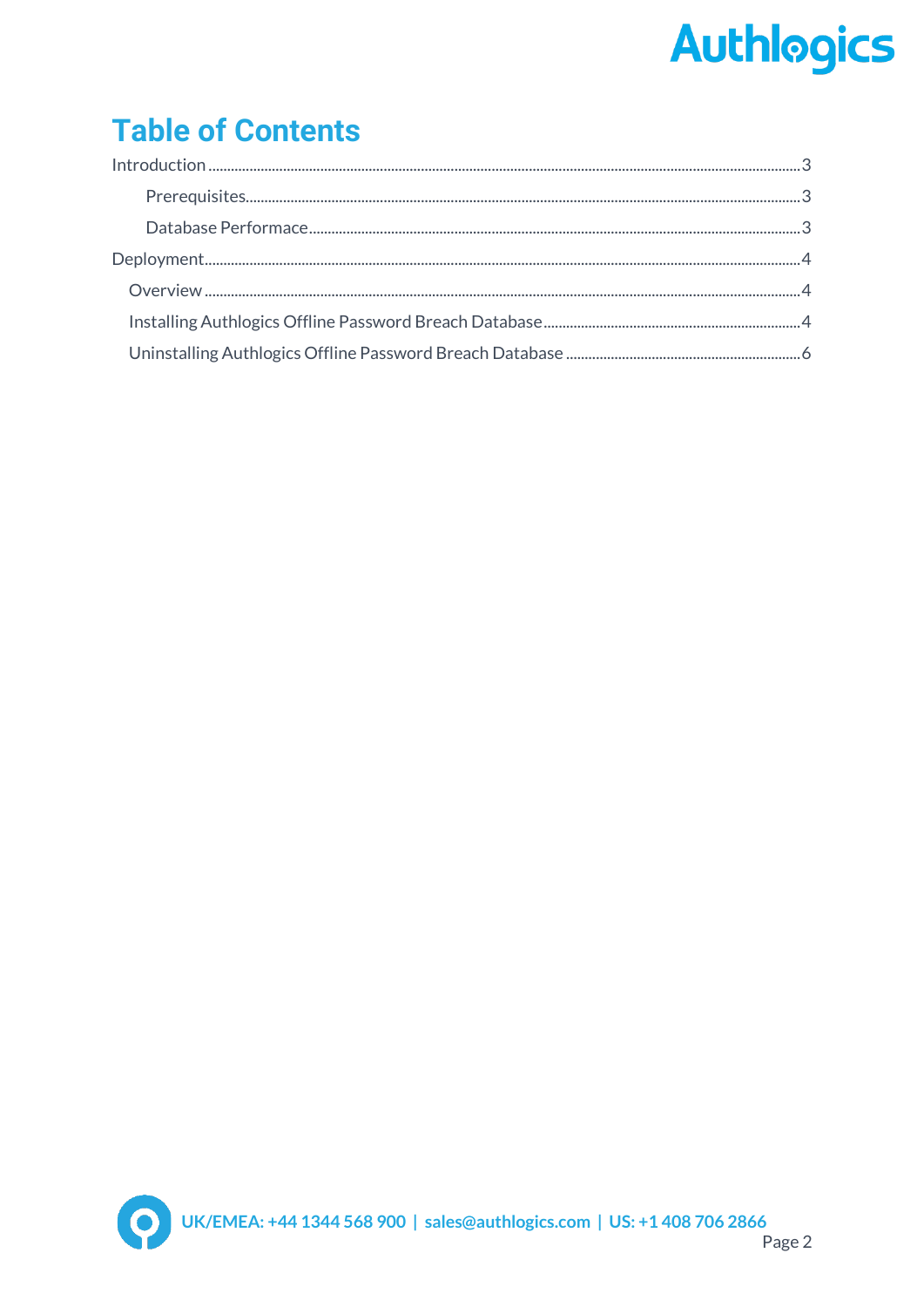## **Table of Contents**

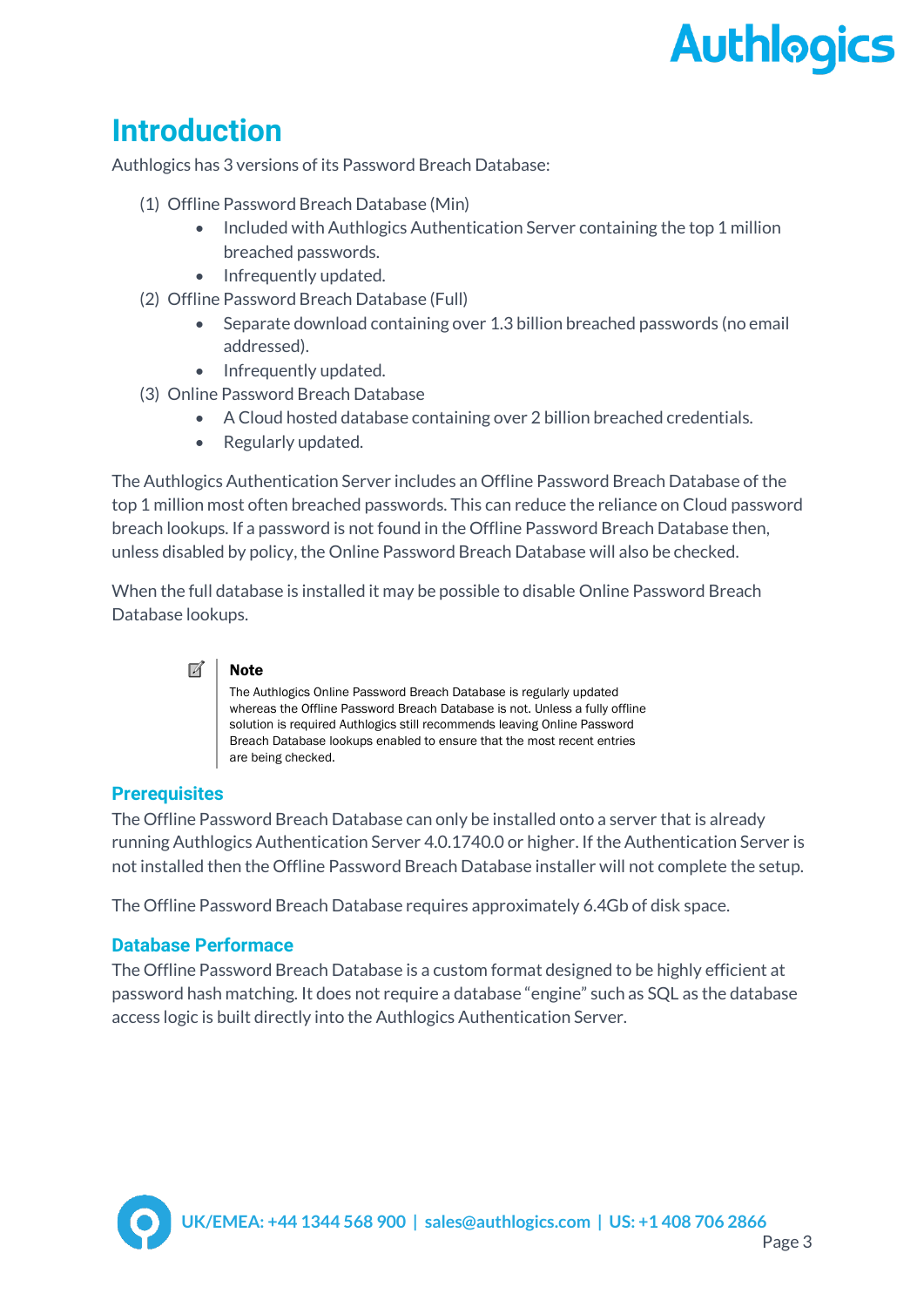### <span id="page-3-0"></span>**Introduction**

Authlogics has 3 versions of its Password Breach Database:

- (1) Offline Password Breach Database (Min)
	- Included with Authlogics Authentication Server containing the top 1 million breached passwords.
	- Infrequently updated.
- (2) Offline Password Breach Database (Full)
	- Separate download containing over 1.3 billion breached passwords (no email addressed).
	- Infrequently updated.
- (3) Online Password Breach Database
	- A Cloud hosted database containing over 2 billion breached credentials.
	- Regularly updated.

The Authlogics Authentication Server includes an Offline Password Breach Database of the top 1 million most often breached passwords. This can reduce the reliance on Cloud password breach lookups. If a password is not found in the Offline Password Breach Database then, unless disabled by policy, the Online Password Breach Database will also be checked.

When the full database is installed it may be possible to disable Online Password Breach Database lookups.

#### $\overline{M}$ **Note**

The Authlogics Online Password Breach Database is regularly updated whereas the Offline Password Breach Database is not. Unless a fully offline solution is required Authlogics still recommends leaving Online Password Breach Database lookups enabled to ensure that the most recent entries are being checked.

#### <span id="page-3-1"></span>**Prerequisites**

The Offline Password Breach Database can only be installed onto a server that is already running Authlogics Authentication Server 4.0.1740.0 or higher. If the Authentication Server is not installed then the Offline Password Breach Database installer will not complete the setup.

The Offline Password Breach Database requires approximately 6.4Gb of disk space.

#### <span id="page-3-2"></span>**Database Performace**

The Offline Password Breach Database is a custom format designed to be highly efficient at password hash matching. It does not require a database "engine" such as SQL as the database access logic is built directly into the Authlogics Authentication Server.

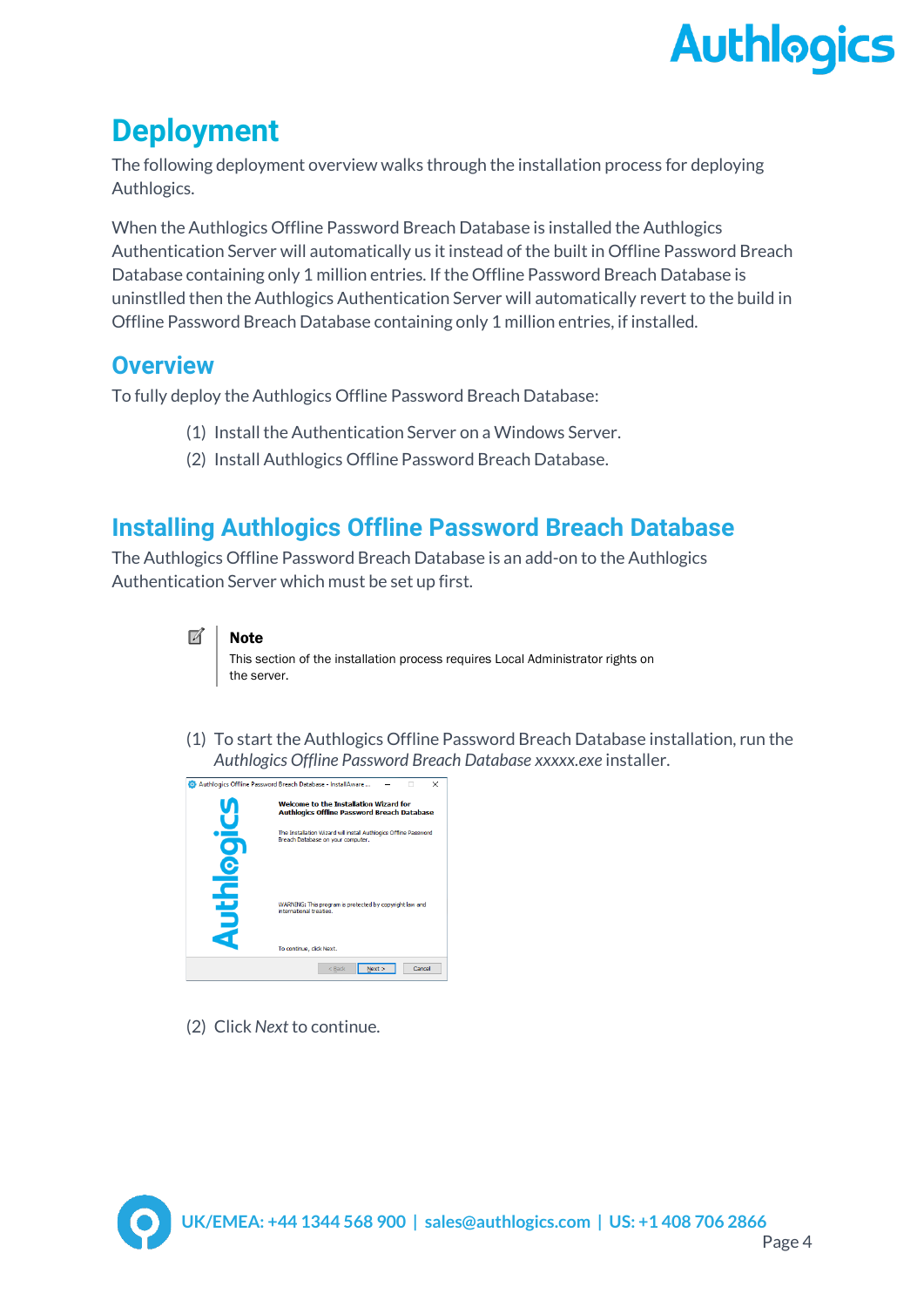### <span id="page-4-0"></span>**Deployment**

The following deployment overview walks through the installation process for deploying Authlogics.

When the Authlogics Offline Password Breach Database is installed the Authlogics Authentication Server will automatically us it instead of the built in Offline Password Breach Database containing only 1 million entries. If the Offline Password Breach Database is uninstlled then the Authlogics Authentication Server will automatically revert to the build in Offline Password Breach Database containing only 1 million entries, if installed.

### <span id="page-4-1"></span>**Overview**

To fully deploy the Authlogics Offline Password Breach Database:

- (1) Install the Authentication Server on a Windows Server.
- (2) Install Authlogics Offline Password Breach Database.

### <span id="page-4-2"></span>**Installing Authlogics Offline Password Breach Database**

The Authlogics Offline Password Breach Database is an add-on to the Authlogics Authentication Server which must be set up first.

This section of the installation process requires Local Administrator rights on the server.

(1) To start the Authlogics Offline Password Breach Database installation, run the *Authlogics Offline Password Breach Database xxxxx.exe* installer.

|                 | Authlogics Offline Password Breach Database - InstallAware<br>$\times$                                |
|-----------------|-------------------------------------------------------------------------------------------------------|
|                 | Welcome to the Installation Wizard for<br><b>Authlogics Offline Password Breach Database</b>          |
|                 | The Installation Wizard will install Authlogics Offline Password<br>Breach Database on your computer. |
| <u>g</u><br>Dth | WARNING: This program is protected by copyright law and<br>international treaties.                    |
|                 | To continue, click Next.                                                                              |
|                 | Cancel<br>Next<br>$<$ Back                                                                            |

(2) Click *Next* to continue.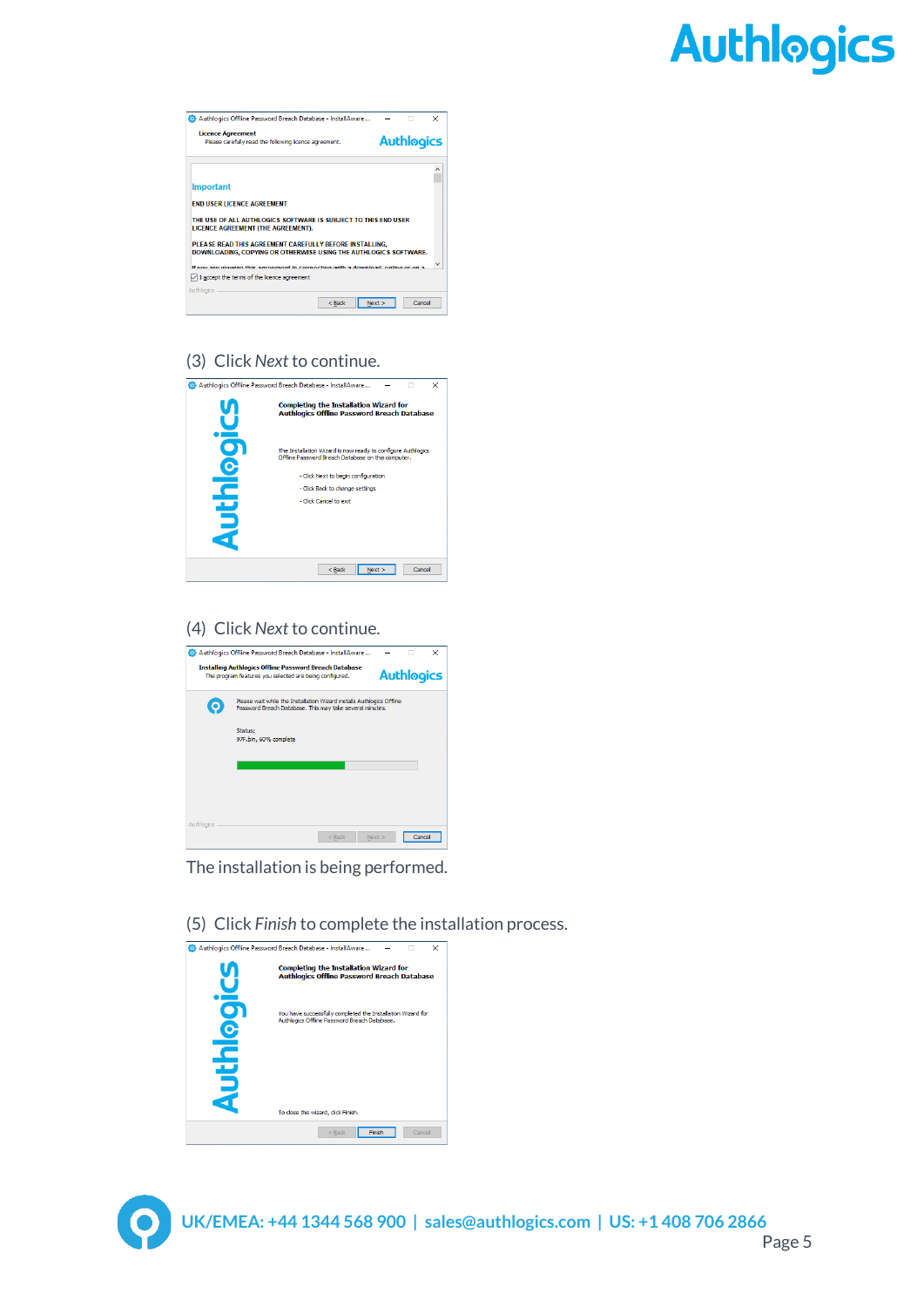| Authlogics Offline Password Breach Database - InstallAware                                                                  |      |                   | $\times$ |
|-----------------------------------------------------------------------------------------------------------------------------|------|-------------------|----------|
| <b>Licence Agreement</b><br>Please carefully read the following licence agreement.                                          |      | <b>Authlogics</b> |          |
|                                                                                                                             |      |                   |          |
| <b>Important</b>                                                                                                            |      |                   |          |
| <b>END USER LICENCE AGREEMENT</b>                                                                                           |      |                   |          |
| THE USE OF ALL AUTHLOGICS SOFTWARE IS SUBJECT TO THIS END USER<br>LICENCE AGREEMENT (THE AGREEMENT).                        |      |                   |          |
| PLEASE READ THIS AGREEMENT CAREFULLY BEFORE INSTALLING.<br>DOWNLOADING, COPYING OR OTHERWISE USING THE AUTHLOGICS SOFTWARE. |      |                   |          |
| If you are viewing this agreement in connection with a download, enline or on a                                             |      |                   |          |
| $\Box$ I accept the terms of the licence agreement                                                                          |      |                   |          |
| Authlogics                                                                                                                  |      |                   |          |
| $<$ Back                                                                                                                    | Next | Cancel            |          |

#### (3) Click *Next* to continue.

|            | Authlogics Offline Password Breach Database - InstallAware<br>$\times$                                             |
|------------|--------------------------------------------------------------------------------------------------------------------|
|            | <b>Completing the Installation Wizard for</b><br><b>Authlogics Offline Password Breach Database</b>                |
| ┑          | The Installation Wizard is now ready to configure Authlogics<br>Offline Password Breach Database on this computer. |
|            | - Click Next to begin configuration                                                                                |
|            | - Click Back to change settings                                                                                    |
|            | - Click Cancel to exit                                                                                             |
| <u>pth</u> |                                                                                                                    |
|            | Cancel<br>$<$ Back<br>Next                                                                                         |

#### (4) Click *Next* to continue.

|            | Authlogics Offline Password Breach Database - InstallAware                                                                        |      |                   | × |
|------------|-----------------------------------------------------------------------------------------------------------------------------------|------|-------------------|---|
|            | <b>Installing Authlogics Offline Password Breach Database</b><br>The program features you selected are being configured.          |      | <b>Authlogics</b> |   |
|            | Please wait while the Installation Wizard installs Authlogics Offline<br>Password Breach Database. This may take several minutes. |      |                   |   |
|            | Status:<br>97F.bin, 60% complete                                                                                                  |      |                   |   |
|            |                                                                                                                                   |      |                   |   |
|            |                                                                                                                                   |      |                   |   |
| Authlogics |                                                                                                                                   |      |                   |   |
|            | $<$ Back                                                                                                                          | Next | Cancel            |   |

The installation is being performed.

Authlogics Offline Password Breach Database - InstallAware ... τ **Completing the Installation Wizard for<br>Authlogics Offline Password Breach Database Authlogics** You have successfully completed the Installation Wizard for<br>Authlogics Offline Password Breach Database. To close this wizard, click Finish.  $\leq$  Back **Finish** Cancel

(5) Click *Finish* to complete the installation process.